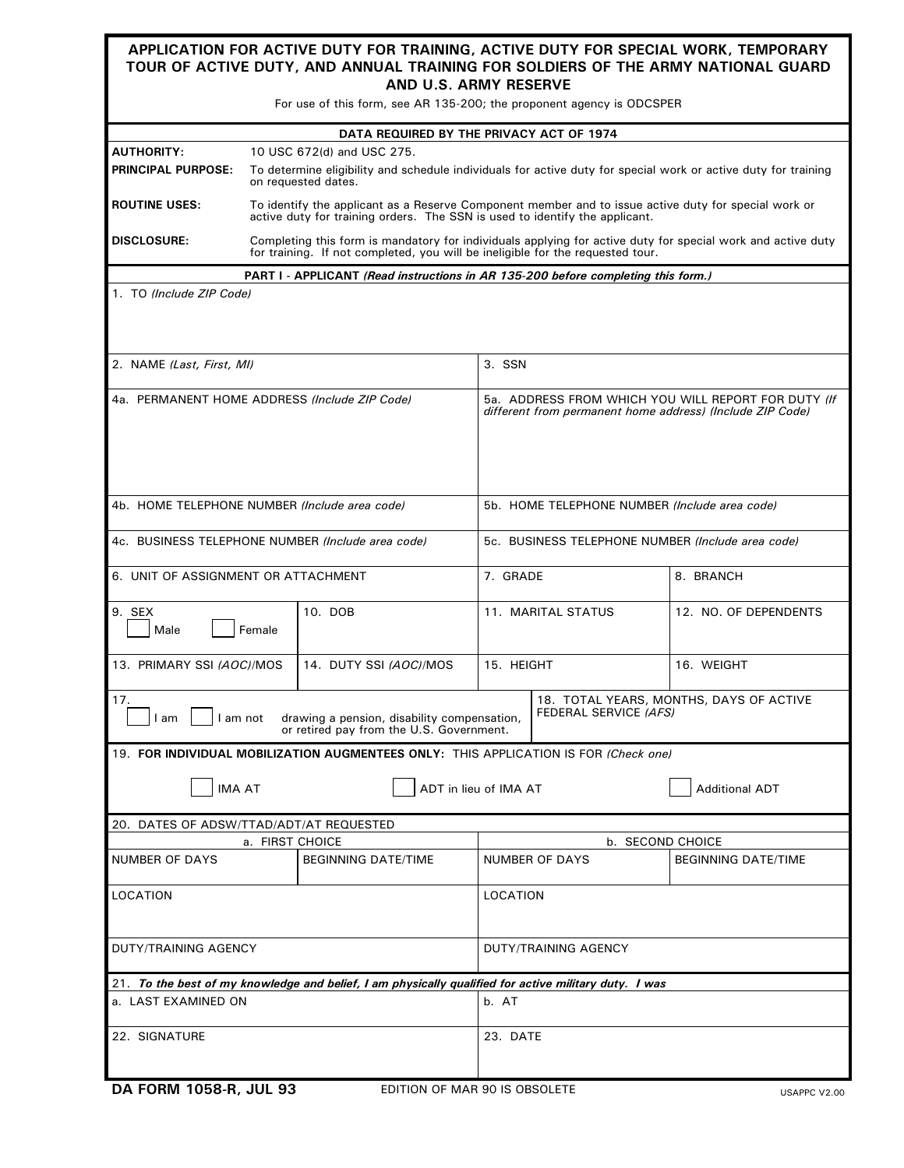| APPLICATION FOR ACTIVE DUTY FOR TRAINING, ACTIVE DUTY FOR SPECIAL WORK, TEMPORARY<br>TOUR OF ACTIVE DUTY, AND ANNUAL TRAINING FOR SOLDIERS OF THE ARMY NATIONAL GUARD                  |                                                                                                                                                                                               |                                                                                                       |                                                                                                                  |                                                   |                            |  |  |  |  |  |  |  |
|----------------------------------------------------------------------------------------------------------------------------------------------------------------------------------------|-----------------------------------------------------------------------------------------------------------------------------------------------------------------------------------------------|-------------------------------------------------------------------------------------------------------|------------------------------------------------------------------------------------------------------------------|---------------------------------------------------|----------------------------|--|--|--|--|--|--|--|
| AND U.S. ARMY RESERVE<br>For use of this form, see AR 135-200; the proponent agency is ODCSPER                                                                                         |                                                                                                                                                                                               |                                                                                                       |                                                                                                                  |                                                   |                            |  |  |  |  |  |  |  |
| DATA REQUIRED BY THE PRIVACY ACT OF 1974                                                                                                                                               |                                                                                                                                                                                               |                                                                                                       |                                                                                                                  |                                                   |                            |  |  |  |  |  |  |  |
|                                                                                                                                                                                        | <b>AUTHORITY:</b><br>10 USC 672(d) and USC 275.                                                                                                                                               |                                                                                                       |                                                                                                                  |                                                   |                            |  |  |  |  |  |  |  |
| <b>PRINCIPAL PURPOSE:</b>                                                                                                                                                              | To determine eligibility and schedule individuals for active duty for special work or active duty for training<br>on requested dates.                                                         |                                                                                                       |                                                                                                                  |                                                   |                            |  |  |  |  |  |  |  |
| <b>ROUTINE USES:</b>                                                                                                                                                                   | To identify the applicant as a Reserve Component member and to issue active duty for special work or<br>active duty for training orders. The SSN is used to identify the applicant.           |                                                                                                       |                                                                                                                  |                                                   |                            |  |  |  |  |  |  |  |
| <b>DISCLOSURE:</b>                                                                                                                                                                     | Completing this form is mandatory for individuals applying for active duty for special work and active duty<br>for training. If not completed, you will be ineligible for the requested tour. |                                                                                                       |                                                                                                                  |                                                   |                            |  |  |  |  |  |  |  |
|                                                                                                                                                                                        |                                                                                                                                                                                               | PART I - APPLICANT (Read instructions in AR 135-200 before completing this form.)                     |                                                                                                                  |                                                   |                            |  |  |  |  |  |  |  |
| 1. TO (Include ZIP Code)                                                                                                                                                               |                                                                                                                                                                                               |                                                                                                       |                                                                                                                  |                                                   |                            |  |  |  |  |  |  |  |
| 2. NAME (Last, First, MI)                                                                                                                                                              |                                                                                                                                                                                               |                                                                                                       |                                                                                                                  | 3. SSN                                            |                            |  |  |  |  |  |  |  |
| 4a. PERMANENT HOME ADDRESS (Include ZIP Code)                                                                                                                                          |                                                                                                                                                                                               |                                                                                                       | 5a. ADDRESS FROM WHICH YOU WILL REPORT FOR DUTY (If<br>different from permanent home address) (Include ZIP Code) |                                                   |                            |  |  |  |  |  |  |  |
| 4b. HOME TELEPHONE NUMBER (Include area code)                                                                                                                                          |                                                                                                                                                                                               |                                                                                                       |                                                                                                                  | 5b. HOME TELEPHONE NUMBER (Include area code)     |                            |  |  |  |  |  |  |  |
| 4c. BUSINESS TELEPHONE NUMBER (Include area code)                                                                                                                                      |                                                                                                                                                                                               |                                                                                                       |                                                                                                                  | 5c. BUSINESS TELEPHONE NUMBER (Include area code) |                            |  |  |  |  |  |  |  |
| 6. UNIT OF ASSIGNMENT OR ATTACHMENT                                                                                                                                                    |                                                                                                                                                                                               |                                                                                                       |                                                                                                                  | 7. GRADE                                          | 8. BRANCH                  |  |  |  |  |  |  |  |
| 9. SEX<br>Male<br>Female                                                                                                                                                               |                                                                                                                                                                                               | 10. DOB                                                                                               | 11. MARITAL STATUS                                                                                               |                                                   | 12. NO. OF DEPENDENTS      |  |  |  |  |  |  |  |
| 13. PRIMARY SSI (AOC)/MOS                                                                                                                                                              |                                                                                                                                                                                               | 14. DUTY SSI (AOC)/MOS                                                                                | 15. HEIGHT                                                                                                       |                                                   | 16. WEIGHT                 |  |  |  |  |  |  |  |
| 17.<br>18. TOTAL YEARS, MONTHS, DAYS OF ACTIVE<br>FEDERAL SERVICE (AFS)<br>I am not<br>drawing a pension, disability compensation,<br>I am<br>or retired pay from the U.S. Government. |                                                                                                                                                                                               |                                                                                                       |                                                                                                                  |                                                   |                            |  |  |  |  |  |  |  |
|                                                                                                                                                                                        |                                                                                                                                                                                               | 19. FOR INDIVIDUAL MOBILIZATION AUGMENTEES ONLY: THIS APPLICATION IS FOR (Check one)                  |                                                                                                                  |                                                   |                            |  |  |  |  |  |  |  |
| <b>IMA AT</b><br>ADT in lieu of IMA AT<br><b>Additional ADT</b>                                                                                                                        |                                                                                                                                                                                               |                                                                                                       |                                                                                                                  |                                                   |                            |  |  |  |  |  |  |  |
| 20. DATES OF ADSW/TTAD/ADT/AT REQUESTED                                                                                                                                                |                                                                                                                                                                                               |                                                                                                       |                                                                                                                  |                                                   |                            |  |  |  |  |  |  |  |
|                                                                                                                                                                                        | a. FIRST CHOICE                                                                                                                                                                               |                                                                                                       |                                                                                                                  | <b>b. SECOND CHOICE</b>                           |                            |  |  |  |  |  |  |  |
| <b>NUMBER OF DAYS</b><br><b>BEGINNING DATE/TIME</b>                                                                                                                                    |                                                                                                                                                                                               |                                                                                                       |                                                                                                                  | <b>NUMBER OF DAYS</b>                             | <b>BEGINNING DATE/TIME</b> |  |  |  |  |  |  |  |
| <b>LOCATION</b>                                                                                                                                                                        |                                                                                                                                                                                               |                                                                                                       | LOCATION                                                                                                         |                                                   |                            |  |  |  |  |  |  |  |
| DUTY/TRAINING AGENCY                                                                                                                                                                   |                                                                                                                                                                                               |                                                                                                       | DUTY/TRAINING AGENCY                                                                                             |                                                   |                            |  |  |  |  |  |  |  |
|                                                                                                                                                                                        |                                                                                                                                                                                               | 21. To the best of my knowledge and belief, I am physically qualified for active military duty. I was |                                                                                                                  |                                                   |                            |  |  |  |  |  |  |  |
| a. LAST EXAMINED ON                                                                                                                                                                    |                                                                                                                                                                                               |                                                                                                       | b. AT                                                                                                            |                                                   |                            |  |  |  |  |  |  |  |
| 22. SIGNATURE                                                                                                                                                                          |                                                                                                                                                                                               |                                                                                                       | 23. DATE                                                                                                         |                                                   |                            |  |  |  |  |  |  |  |